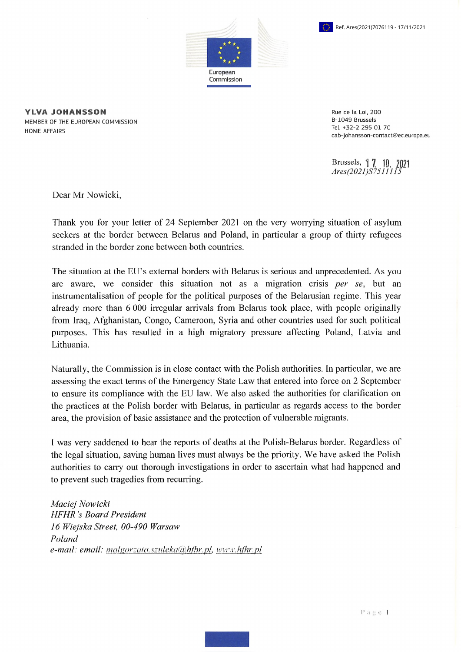



**YLVA JOHANSSON** MEMBER OF THE EUROPEAN COMMISSION HOME AFFAIRS

Rue de la Loi, 200 B-1049 Brussels Tel. +32-2 295 01 70 [cab-johansson-contact@ec.europa.eu](mailto:cab-johansson-contact@ec.europa.eu)

Brussels,  $\int$   $\int$ *Ares(2021)S7511'115*

Dear Mr Nowicki,

Thank you for your letter of 24 September 2021 on the very worrying situation of asylum seekers at the border between Belarus and Poland, in particular a group of thirty refugees stranded in the border zone between both countries.

The situation at the EU's external borders with Belarus is serious and unprecedented. As you are aware, we consider this situation not as a migration crisis *per se,* but an instrumentalisation of people for the political purposes of the Belarusian regime. This year already more than 6 000 irregular arrivals from Belarus took place, with people originally from Iraq, Afghanistan, Congo, Cameroon, Syria and other countries used for such political purposes. This has resulted in a high migratory pressure affecting Poland, Latvia and Lithuania.

Naturally, the Commission is in close contact with the Polish authorities. In particular, we are assessing the exact terms of the Emergency State Law that entered into force on 2 September to ensure its compliance with the EU law. We also asked the authorities for clarification on the practices at the Polish border with Belarus, in particular as regards access to the border area, the provision of basic assistance and the protection of vulnerable migrants.

<sup>I</sup> was very saddened to hear the reports of deaths at the Polish-Belarus border. Regardless of the legal situation, saving human lives must always be the priority. We have asked the Polish authorities to carry out thorough investigations in order to ascertain what had happened and to prevent such tragedies from recurring.

*Maciej Nowicki HFHR 's Board President 16 Wiejska Street, 00-490 Warsaw Poland e-mail: email: malgorzata.szuleka@<hfhr.pl>, www.hfhr.pl*